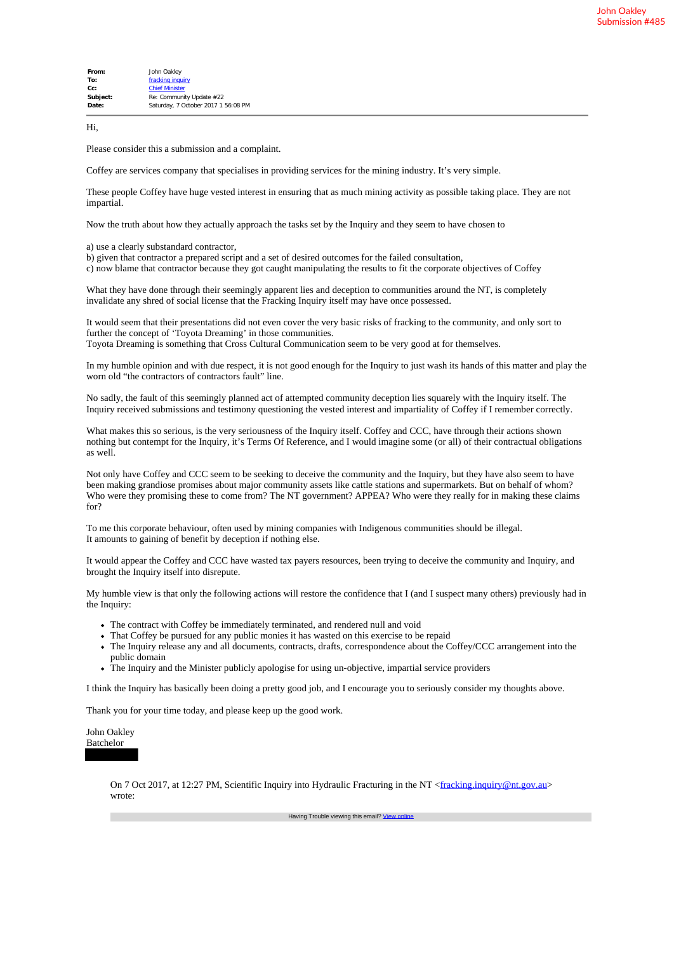| From:     | John Oakley                         |
|-----------|-------------------------------------|
| To:       | fracking inquiry                    |
| $C_{C}$ : | <b>Chief Minister</b>               |
| Subject:  | Re: Community Update #22            |
| Date:     | Saturday, 7 October 2017 1 56:08 PM |
|           |                                     |

Hi,

Please consider this a submission and a complaint.

Coffey are services company that specialises in providing services for the mining industry. It's very simple.

These people Coffey have huge vested interest in ensuring that as much mining activity as possible taking place. They are not impartial.

Now the truth about how they actually approach the tasks set by the Inquiry and they seem to have chosen to

a) use a clearly substandard contractor,

b) given that contractor a prepared script and a set of desired outcomes for the failed consultation,

c) now blame that contractor because they got caught manipulating the results to fit the corporate objectives of Coffey

What they have done through their seemingly apparent lies and deception to communities around the NT, is completely invalidate any shred of social license that the Fracking Inquiry itself may have once possessed.

It would seem that their presentations did not even cover the very basic risks of fracking to the community, and only sort to further the concept of 'Toyota Dreaming' in those communities. Toyota Dreaming is something that Cross Cultural Communication seem to be very good at for themselves.

In my humble opinion and with due respect, it is not good enough for the Inquiry to just wash its hands of this matter and play the worn old "the contractors of contractors fault" line.

No sadly, the fault of this seemingly planned act of attempted community deception lies squarely with the Inquiry itself. The Inquiry received submissions and testimony questioning the vested interest and impartiality of Coffey if I remember correctly.

What makes this so serious, is the very seriousness of the Inquiry itself. Coffey and CCC, have through their actions shown nothing but contempt for the Inquiry, it's Terms Of Reference, and I would imagine some (or all) of their contractual obligations as well.

Not only have Coffey and CCC seem to be seeking to deceive the community and the Inquiry, but they have also seem to have been making grandiose promises about major community assets like cattle stations and supermarkets. But on behalf of whom? Who were they promising these to come from? The NT government? APPEA? Who were they really for in making these claims for?

To me this corporate behaviour, often used by mining companies with Indigenous communities should be illegal. It amounts to gaining of benefit by deception if nothing else.

It would appear the Coffey and CCC have wasted tax payers resources, been trying to deceive the community and Inquiry, and brought the Inquiry itself into disrepute.

My humble view is that only the following actions will restore the confidence that I (and I suspect many others) previously had in the Inquiry:

- The contract with Coffey be immediately terminated, and rendered null and void
- That Coffey be pursued for any public monies it has wasted on this exercise to be repaid
- The Inquiry release any and all documents, contracts, drafts, correspondence about the Coffey/CCC arrangement into the public domain
- The Inquiry and the Minister publicly apologise for using un-objective, impartial service providers

I think the Inquiry has basically been doing a pretty good job, and I encourage you to seriously consider my thoughts above.

Thank you for your time today, and please keep up the good work.

John Oakley Batchelor

> On 7 Oct 2017, at 12:27 PM, Scientific Inquiry into Hydraulic Fracturing in the NT <fracking.inquiry@nt.gov.au> wrote: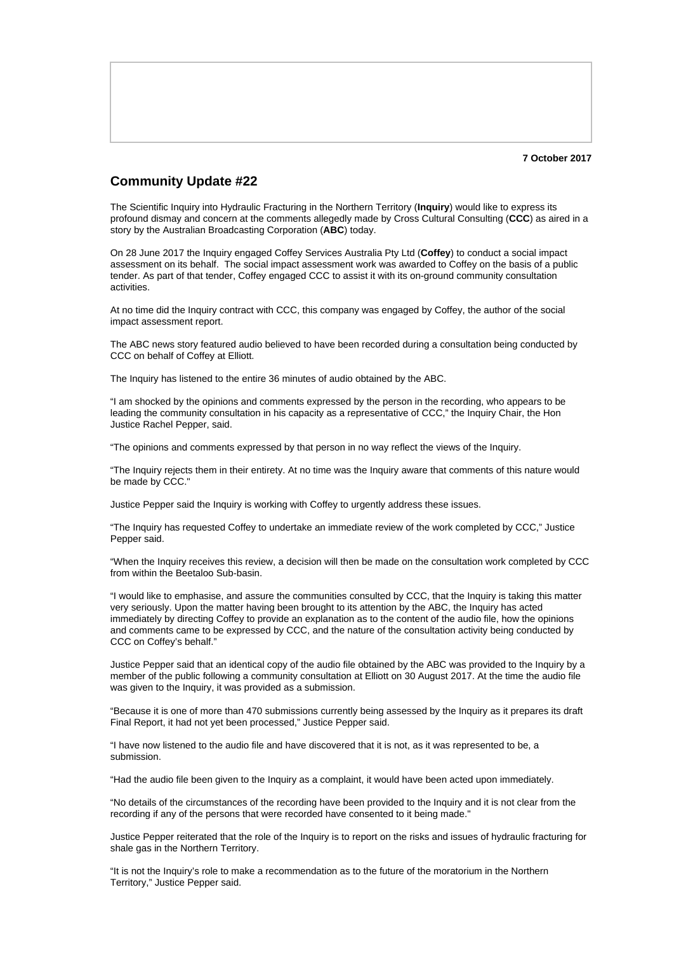## **Community Update #22**

The Scientific Inquiry into Hydraulic Fracturing in the Northern Territory (**Inquiry**) would like to express its profound dismay and concern at the comments allegedly made by Cross Cultural Consulting (**CCC**) as aired in a story by the Australian Broadcasting Corporation (**ABC**) today.

On 28 June 2017 the Inquiry engaged Coffey Services Australia Pty Ltd (**Coffey**) to conduct a social impact assessment on its behalf. The social impact assessment work was awarded to Coffey on the basis of a public tender. As part of that tender, Coffey engaged CCC to assist it with its on-ground community consultation activities.

At no time did the Inquiry contract with CCC, this company was engaged by Coffey, the author of the social impact assessment report.

The ABC news story featured audio believed to have been recorded during a consultation being conducted by CCC on behalf of Coffey at Elliott.

The Inquiry has listened to the entire 36 minutes of audio obtained by the ABC.

"I am shocked by the opinions and comments expressed by the person in the recording, who appears to be leading the community consultation in his capacity as a representative of CCC," the Inquiry Chair, the Hon Justice Rachel Pepper, said.

"The opinions and comments expressed by that person in no way reflect the views of the Inquiry.

"The Inquiry rejects them in their entirety. At no time was the Inquiry aware that comments of this nature would be made by CCC."

Justice Pepper said the Inquiry is working with Coffey to urgently address these issues.

"The Inquiry has requested Coffey to undertake an immediate review of the work completed by CCC," Justice Pepper said.

"When the Inquiry receives this review, a decision will then be made on the consultation work completed by CCC from within the Beetaloo Sub-basin.

"I would like to emphasise, and assure the communities consulted by CCC, that the Inquiry is taking this matter very seriously. Upon the matter having been brought to its attention by the ABC, the Inquiry has acted immediately by directing Coffey to provide an explanation as to the content of the audio file, how the opinions and comments came to be expressed by CCC, and the nature of the consultation activity being conducted by CCC on Coffey's behalf."

Justice Pepper said that an identical copy of the audio file obtained by the ABC was provided to the Inquiry by a member of the public following a community consultation at Elliott on 30 August 2017. At the time the audio file was given to the Inquiry, it was provided as a submission.

"Because it is one of more than 470 submissions currently being assessed by the Inquiry as it prepares its draft Final Report, it had not yet been processed," Justice Pepper said.

"I have now listened to the audio file and have discovered that it is not, as it was represented to be, a submission.

"Had the audio file been given to the Inquiry as a complaint, it would have been acted upon immediately.

"No details of the circumstances of the recording have been provided to the Inquiry and it is not clear from the recording if any of the persons that were recorded have consented to it being made."

Justice Pepper reiterated that the role of the Inquiry is to report on the risks and issues of hydraulic fracturing for shale gas in the Northern Territory.

"It is not the Inquiry's role to make a recommendation as to the future of the moratorium in the Northern Territory," Justice Pepper said.